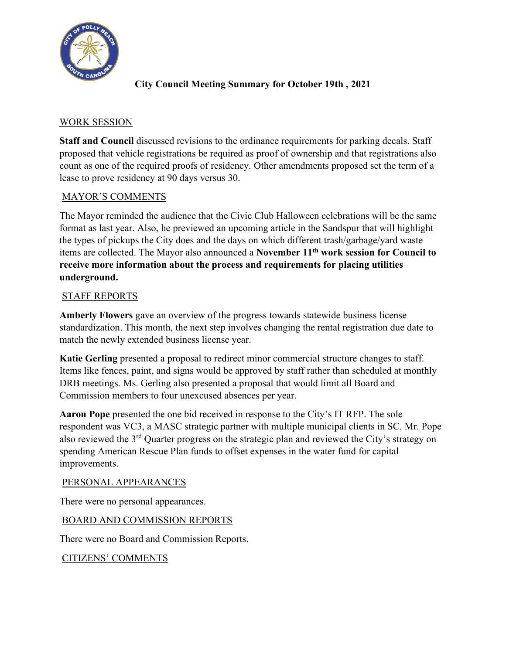

# **City Council Meeting Summary for October 19th , 2021**

## WORK SESSION

**Staff and Council** discussed revisions to the ordinance requirements for parking decals. Staff proposed that vehicle registrations be required as proof of ownership and that registrations also count as one of the required proofs of residency. Other amendments proposed set the term of a lease to prove residency at 90 days versus 30.

## MAYOR'S COMMENTS

The Mayor reminded the audience that the Civic Club Halloween celebrations will be the same format as last year. Also, he previewed an upcoming article in the Sandspur that will highlight the types of pickups the City does and the days on which different trash/garbage/yard waste items are collected. The Mayor also announced a **November 11th work session for Council to receive more information about the process and requirements for placing utilities underground.**

## STAFF REPORTS

**Amberly Flowers** gave an overview of the progress towards statewide business license standardization. This month, the next step involves changing the rental registration due date to match the newly extended business license year.

**Katie Gerling** presented a proposal to redirect minor commercial structure changes to staff. Items like fences, paint, and signs would be approved by staff rather than scheduled at monthly DRB meetings. Ms. Gerling also presented a proposal that would limit all Board and Commission members to four unexcused absences per year.

**Aaron Pope** presented the one bid received in response to the City's IT RFP. The sole respondent was VC3, a MASC strategic partner with multiple municipal clients in SC. Mr. Pope also reviewed the 3rd Quarter progress on the strategic plan and reviewed the City's strategy on spending American Rescue Plan funds to offset expenses in the water fund for capital improvements.

#### PERSONAL APPEARANCES

There were no personal appearances.

#### BOARD AND COMMISSION REPORTS

There were no Board and Commission Reports.

#### CITIZENS' COMMENTS